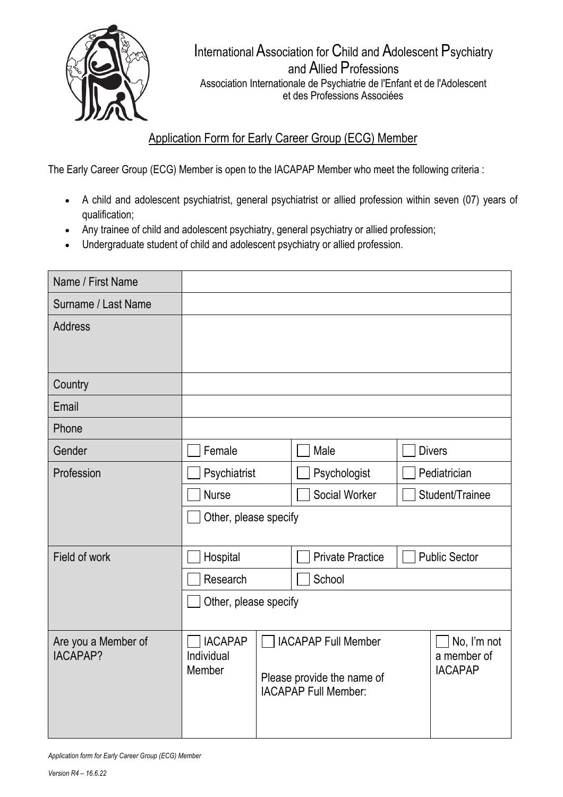

InternationalAssociation for Child and Adolescent Psychiatry and Allied Professions Association Internationale de Psychiatrie de l'Enfant et de l'Adolescent et des Professions Associées

## Application Form for Early Career Group (ECG) Member

The Early Career Group (ECG) Member is open to the IACAPAP Member who meet the following criteria :

- A child and adolescent psychiatrist, general psychiatrist or allied profession within seven (07) years of qualification;
- Any trainee of child and adolescent psychiatry, general psychiatry or allied profession;
- Undergraduate student of child and adolescent psychiatry or allied profession.

| Name / First Name                      |                                        |                                                                                                                                         |                         |                      |                 |  |
|----------------------------------------|----------------------------------------|-----------------------------------------------------------------------------------------------------------------------------------------|-------------------------|----------------------|-----------------|--|
| Surname / Last Name                    |                                        |                                                                                                                                         |                         |                      |                 |  |
| <b>Address</b>                         |                                        |                                                                                                                                         |                         |                      |                 |  |
|                                        |                                        |                                                                                                                                         |                         |                      |                 |  |
| Country                                |                                        |                                                                                                                                         |                         |                      |                 |  |
| Email                                  |                                        |                                                                                                                                         |                         |                      |                 |  |
| Phone                                  |                                        |                                                                                                                                         |                         |                      |                 |  |
| Gender                                 | Female                                 |                                                                                                                                         | Male                    | <b>Divers</b>        |                 |  |
| Profession                             | Psychiatrist                           |                                                                                                                                         | Psychologist            | Pediatrician         |                 |  |
|                                        | <b>Nurse</b>                           |                                                                                                                                         | Social Worker           |                      | Student/Trainee |  |
|                                        | Other, please specify                  |                                                                                                                                         |                         |                      |                 |  |
| Field of work                          | Hospital                               |                                                                                                                                         | <b>Private Practice</b> | <b>Public Sector</b> |                 |  |
|                                        | Research                               |                                                                                                                                         | School                  |                      |                 |  |
|                                        | Other, please specify                  |                                                                                                                                         |                         |                      |                 |  |
| Are you a Member of<br><b>IACAPAP?</b> | <b>IACAPAP</b><br>Individual<br>Member | <b>IACAPAP Full Member</b><br>No, I'm not<br>a member of<br><b>IACAPAP</b><br>Please provide the name of<br><b>IACAPAP Full Member:</b> |                         |                      |                 |  |

*Application form for Early Career Group (ECG) Member*